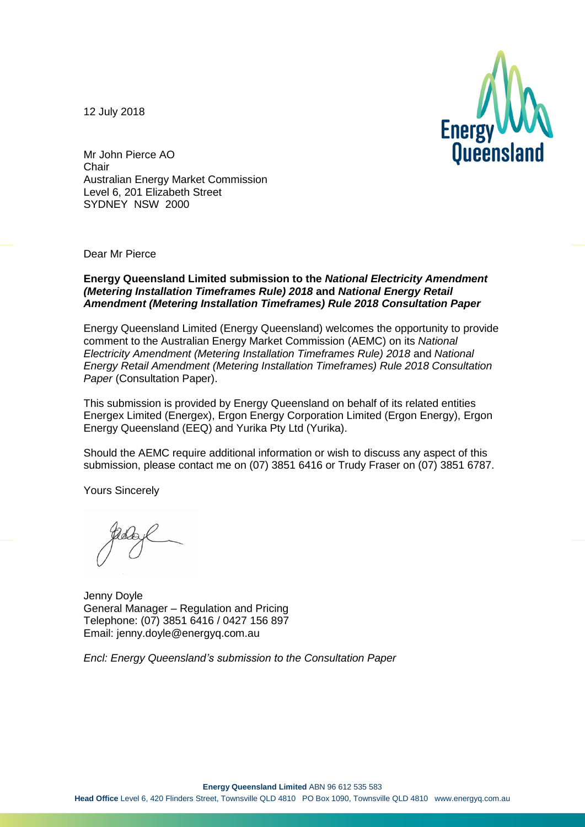12 July 2018



Mr John Pierce AO **Chair** Australian Energy Market Commission Level 6, 201 Elizabeth Street SYDNEY NSW 2000

Dear Mr Pierce

#### **Energy Queensland Limited submission to the** *National Electricity Amendment (Metering Installation Timeframes Rule) 2018* **and** *National Energy Retail Amendment (Metering Installation Timeframes) Rule 2018 Consultation Paper*

Energy Queensland Limited (Energy Queensland) welcomes the opportunity to provide comment to the Australian Energy Market Commission (AEMC) on its *National Electricity Amendment (Metering Installation Timeframes Rule) 2018* and *National Energy Retail Amendment (Metering Installation Timeframes) Rule 2018 Consultation Paper* (Consultation Paper).

This submission is provided by Energy Queensland on behalf of its related entities Energex Limited (Energex), Ergon Energy Corporation Limited (Ergon Energy), Ergon Energy Queensland (EEQ) and Yurika Pty Ltd (Yurika).

Should the AEMC require additional information or wish to discuss any aspect of this submission, please contact me on (07) 3851 6416 or Trudy Fraser on (07) 3851 6787.

Yours Sincerely

Jenny Doyle General Manager – Regulation and Pricing Telephone: (07) 3851 6416 / 0427 156 897 Email: jenny.doyle@energyq.com.au

*Encl: Energy Queensland's submission to the Consultation Paper*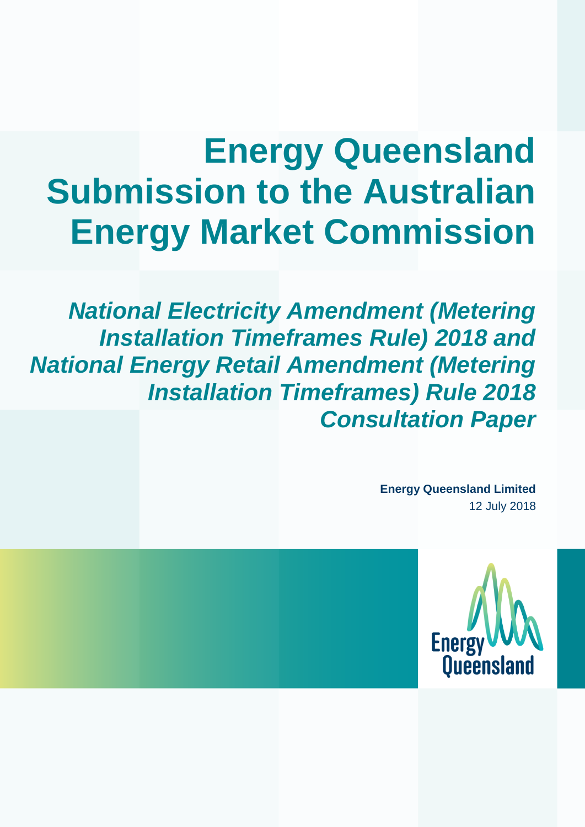# **Energy Queensland Submission to the Australian Energy Market Commission**

*National Electricity Amendment (Metering Installation Timeframes Rule) 2018 and National Energy Retail Amendment (Metering Installation Timeframes) Rule 2018 Consultation Paper* 

> **Energy Queensland Limited** 12 July 2018

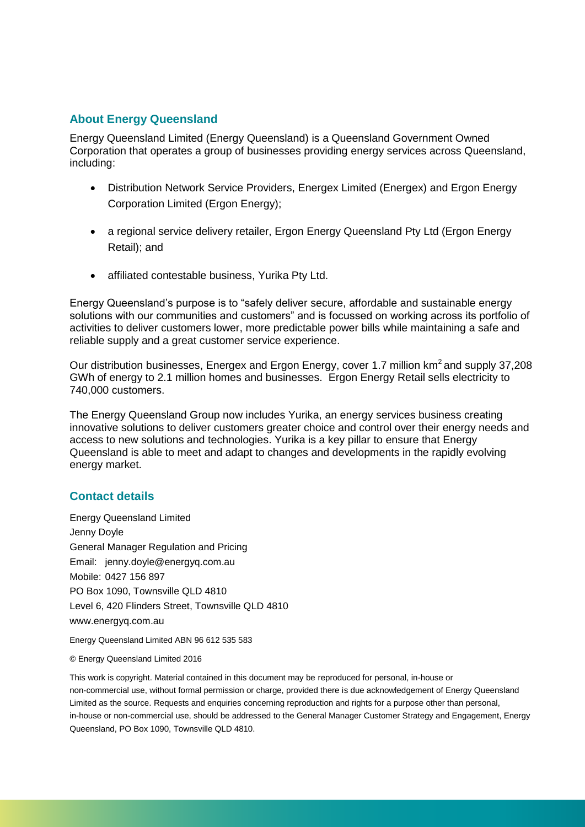### **About Energy Queensland**

Energy Queensland Limited (Energy Queensland) is a Queensland Government Owned Corporation that operates a group of businesses providing energy services across Queensland, including:

- Distribution Network Service Providers, Energex Limited (Energex) and Ergon Energy Corporation Limited (Ergon Energy);
- a regional service delivery retailer, Ergon Energy Queensland Pty Ltd (Ergon Energy Retail); and
- affiliated contestable business, Yurika Pty Ltd.

Energy Queensland's purpose is to "safely deliver secure, affordable and sustainable energy solutions with our communities and customers" and is focussed on working across its portfolio of activities to deliver customers lower, more predictable power bills while maintaining a safe and reliable supply and a great customer service experience.

Our distribution businesses, Energex and Ergon Energy, cover 1.7 million km<sup>2</sup> and supply 37,208 GWh of energy to 2.1 million homes and businesses. Ergon Energy Retail sells electricity to 740,000 customers.

The Energy Queensland Group now includes Yurika, an energy services business creating innovative solutions to deliver customers greater choice and control over their energy needs and access to new solutions and technologies. Yurika is a key pillar to ensure that Energy Queensland is able to meet and adapt to changes and developments in the rapidly evolving energy market.

#### **Contact details**

Energy Queensland Limited Jenny Doyle General Manager Regulation and Pricing Email: jenny.doyle@energyq.com.au Mobile: 0427 156 897 PO Box 1090, Townsville QLD 4810 Level 6, 420 Flinders Street, Townsville QLD 4810 www.energyq.com.au

Energy Queensland Limited ABN 96 612 535 583

© Energy Queensland Limited 2016

This work is copyright. Material contained in this document may be reproduced for personal, in-house or non-commercial use, without formal permission or charge, provided there is due acknowledgement of Energy Queensland Limited as the source. Requests and enquiries concerning reproduction and rights for a purpose other than personal, in-house or non-commercial use, should be addressed to the General Manager Customer Strategy and Engagement, Energy Queensland, PO Box 1090, Townsville QLD 4810.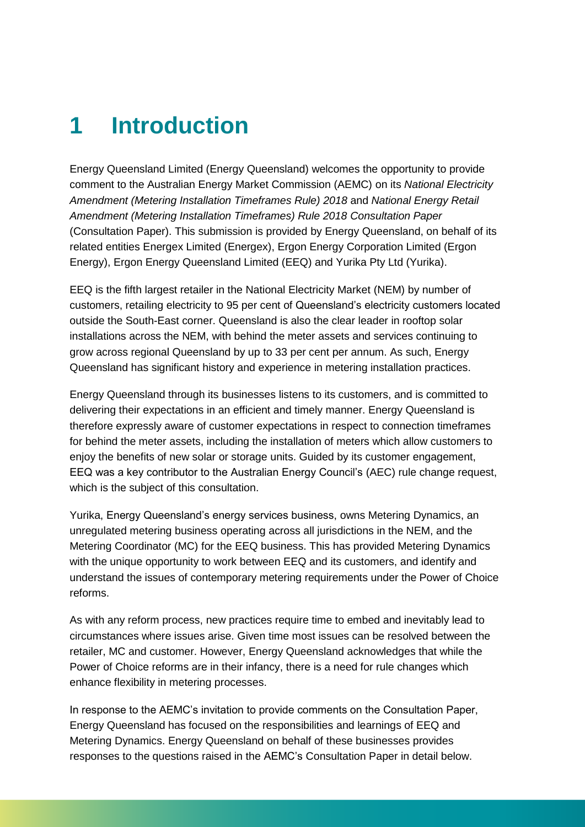### **1 Introduction**

Energy Queensland Limited (Energy Queensland) welcomes the opportunity to provide comment to the Australian Energy Market Commission (AEMC) on its *National Electricity Amendment (Metering Installation Timeframes Rule) 2018* and *National Energy Retail Amendment (Metering Installation Timeframes) Rule 2018 Consultation Paper* (Consultation Paper). This submission is provided by Energy Queensland, on behalf of its related entities Energex Limited (Energex), Ergon Energy Corporation Limited (Ergon Energy), Ergon Energy Queensland Limited (EEQ) and Yurika Pty Ltd (Yurika).

EEQ is the fifth largest retailer in the National Electricity Market (NEM) by number of customers, retailing electricity to 95 per cent of Queensland's electricity customers located outside the South-East corner. Queensland is also the clear leader in rooftop solar installations across the NEM, with behind the meter assets and services continuing to grow across regional Queensland by up to 33 per cent per annum. As such, Energy Queensland has significant history and experience in metering installation practices.

Energy Queensland through its businesses listens to its customers, and is committed to delivering their expectations in an efficient and timely manner. Energy Queensland is therefore expressly aware of customer expectations in respect to connection timeframes for behind the meter assets, including the installation of meters which allow customers to enjoy the benefits of new solar or storage units. Guided by its customer engagement, EEQ was a key contributor to the Australian Energy Council's (AEC) rule change request, which is the subject of this consultation.

Yurika, Energy Queensland's energy services business, owns Metering Dynamics, an unregulated metering business operating across all jurisdictions in the NEM, and the Metering Coordinator (MC) for the EEQ business. This has provided Metering Dynamics with the unique opportunity to work between EEQ and its customers, and identify and understand the issues of contemporary metering requirements under the Power of Choice reforms.

As with any reform process, new practices require time to embed and inevitably lead to circumstances where issues arise. Given time most issues can be resolved between the retailer, MC and customer. However, Energy Queensland acknowledges that while the Power of Choice reforms are in their infancy, there is a need for rule changes which enhance flexibility in metering processes.

In response to the AEMC's invitation to provide comments on the Consultation Paper, Energy Queensland has focused on the responsibilities and learnings of EEQ and Metering Dynamics. Energy Queensland on behalf of these businesses provides responses to the questions raised in the AEMC's Consultation Paper in detail below.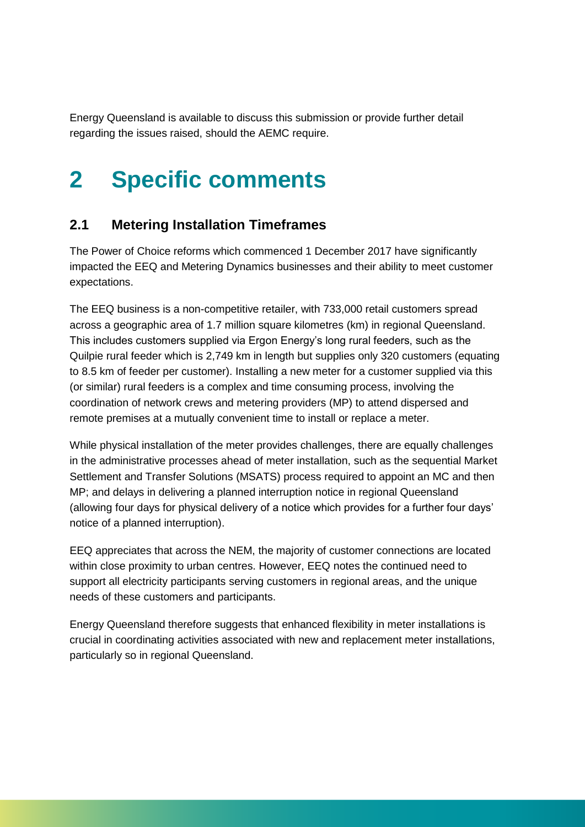Energy Queensland is available to discuss this submission or provide further detail regarding the issues raised, should the AEMC require.

## **2 Specific comments**

### **2.1 Metering Installation Timeframes**

The Power of Choice reforms which commenced 1 December 2017 have significantly impacted the EEQ and Metering Dynamics businesses and their ability to meet customer expectations.

The EEQ business is a non-competitive retailer, with 733,000 retail customers spread across a geographic area of 1.7 million square kilometres (km) in regional Queensland. This includes customers supplied via Ergon Energy's long rural feeders, such as the Quilpie rural feeder which is 2,749 km in length but supplies only 320 customers (equating to 8.5 km of feeder per customer). Installing a new meter for a customer supplied via this (or similar) rural feeders is a complex and time consuming process, involving the coordination of network crews and metering providers (MP) to attend dispersed and remote premises at a mutually convenient time to install or replace a meter.

While physical installation of the meter provides challenges, there are equally challenges in the administrative processes ahead of meter installation, such as the sequential Market Settlement and Transfer Solutions (MSATS) process required to appoint an MC and then MP; and delays in delivering a planned interruption notice in regional Queensland (allowing four days for physical delivery of a notice which provides for a further four days' notice of a planned interruption).

EEQ appreciates that across the NEM, the majority of customer connections are located within close proximity to urban centres. However, EEQ notes the continued need to support all electricity participants serving customers in regional areas, and the unique needs of these customers and participants.

Energy Queensland therefore suggests that enhanced flexibility in meter installations is crucial in coordinating activities associated with new and replacement meter installations, particularly so in regional Queensland.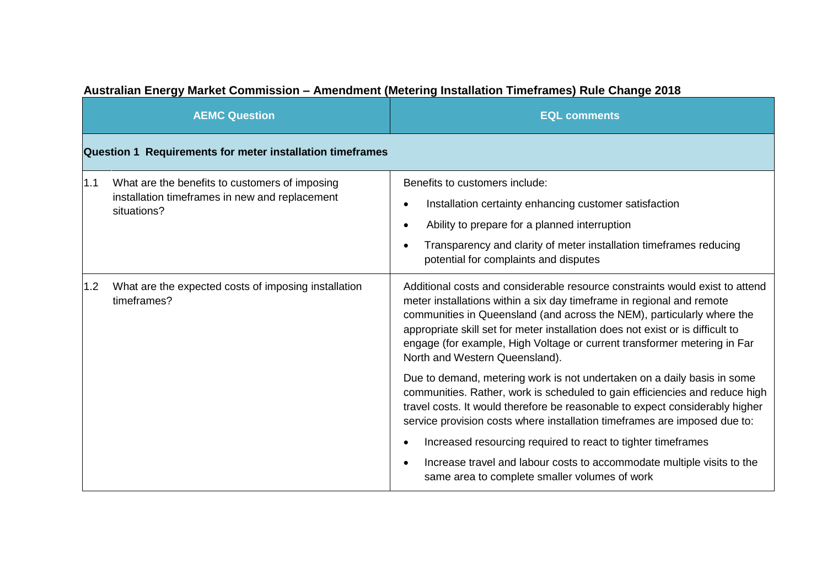|     | <b>AEMC Question</b>                                                                                            | <b>EQL comments</b>                                                                                                                                                                                                                                                                                                                                                                                                             |  |
|-----|-----------------------------------------------------------------------------------------------------------------|---------------------------------------------------------------------------------------------------------------------------------------------------------------------------------------------------------------------------------------------------------------------------------------------------------------------------------------------------------------------------------------------------------------------------------|--|
|     | Question 1 Requirements for meter installation timeframes                                                       |                                                                                                                                                                                                                                                                                                                                                                                                                                 |  |
| 1.1 | What are the benefits to customers of imposing<br>installation timeframes in new and replacement<br>situations? | Benefits to customers include:<br>Installation certainty enhancing customer satisfaction<br>Ability to prepare for a planned interruption<br>Transparency and clarity of meter installation timeframes reducing<br>potential for complaints and disputes                                                                                                                                                                        |  |
| 1.2 | What are the expected costs of imposing installation<br>timeframes?                                             | Additional costs and considerable resource constraints would exist to attend<br>meter installations within a six day timeframe in regional and remote<br>communities in Queensland (and across the NEM), particularly where the<br>appropriate skill set for meter installation does not exist or is difficult to<br>engage (for example, High Voltage or current transformer metering in Far<br>North and Western Queensland). |  |
|     |                                                                                                                 | Due to demand, metering work is not undertaken on a daily basis in some<br>communities. Rather, work is scheduled to gain efficiencies and reduce high<br>travel costs. It would therefore be reasonable to expect considerably higher<br>service provision costs where installation timeframes are imposed due to:                                                                                                             |  |
|     |                                                                                                                 | Increased resourcing required to react to tighter timeframes<br>Increase travel and labour costs to accommodate multiple visits to the<br>same area to complete smaller volumes of work                                                                                                                                                                                                                                         |  |

### **Australian Energy Market Commission – Amendment (Metering Installation Timeframes) Rule Change 2018**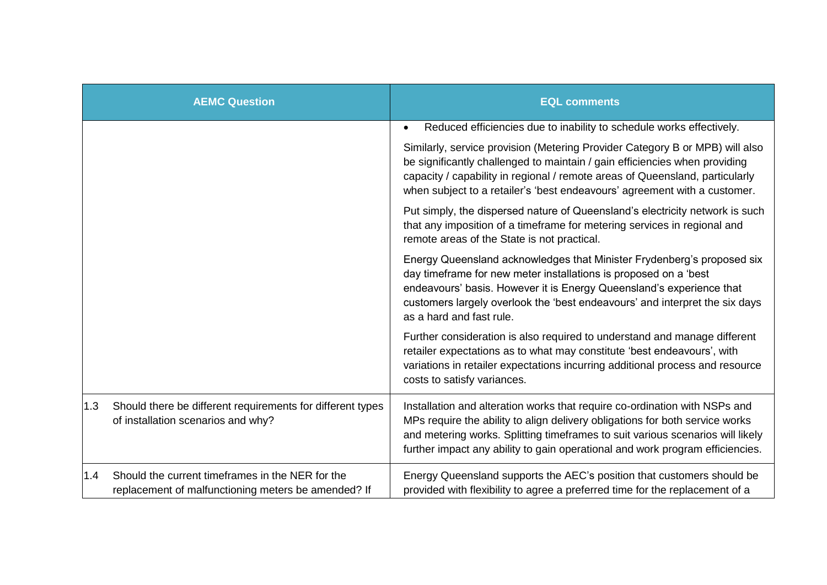|     | <b>AEMC Question</b>                                                                                    | <b>EQL comments</b>                                                                                                                                                                                                                                                                                                           |
|-----|---------------------------------------------------------------------------------------------------------|-------------------------------------------------------------------------------------------------------------------------------------------------------------------------------------------------------------------------------------------------------------------------------------------------------------------------------|
|     |                                                                                                         | Reduced efficiencies due to inability to schedule works effectively.<br>$\bullet$                                                                                                                                                                                                                                             |
|     |                                                                                                         | Similarly, service provision (Metering Provider Category B or MPB) will also<br>be significantly challenged to maintain / gain efficiencies when providing<br>capacity / capability in regional / remote areas of Queensland, particularly<br>when subject to a retailer's 'best endeavours' agreement with a customer.       |
|     |                                                                                                         | Put simply, the dispersed nature of Queensland's electricity network is such<br>that any imposition of a timeframe for metering services in regional and<br>remote areas of the State is not practical.                                                                                                                       |
|     |                                                                                                         | Energy Queensland acknowledges that Minister Frydenberg's proposed six<br>day timeframe for new meter installations is proposed on a 'best<br>endeavours' basis. However it is Energy Queensland's experience that<br>customers largely overlook the 'best endeavours' and interpret the six days<br>as a hard and fast rule. |
|     |                                                                                                         | Further consideration is also required to understand and manage different<br>retailer expectations as to what may constitute 'best endeavours', with<br>variations in retailer expectations incurring additional process and resource<br>costs to satisfy variances.                                                          |
| 1.3 | Should there be different requirements for different types<br>of installation scenarios and why?        | Installation and alteration works that require co-ordination with NSPs and<br>MPs require the ability to align delivery obligations for both service works<br>and metering works. Splitting timeframes to suit various scenarios will likely<br>further impact any ability to gain operational and work program efficiencies. |
| 1.4 | Should the current timeframes in the NER for the<br>replacement of malfunctioning meters be amended? If | Energy Queensland supports the AEC's position that customers should be<br>provided with flexibility to agree a preferred time for the replacement of a                                                                                                                                                                        |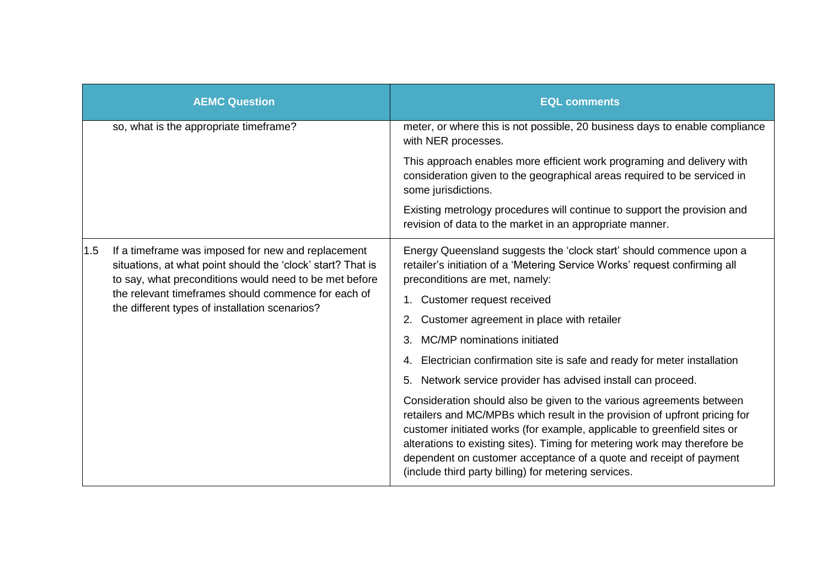|     | <b>AEMC Question</b>                                                                                                                                                                                                                                                                 | <b>EQL comments</b>                                                                                                                                                                                                                                                                                                                                                                                                                       |
|-----|--------------------------------------------------------------------------------------------------------------------------------------------------------------------------------------------------------------------------------------------------------------------------------------|-------------------------------------------------------------------------------------------------------------------------------------------------------------------------------------------------------------------------------------------------------------------------------------------------------------------------------------------------------------------------------------------------------------------------------------------|
|     | so, what is the appropriate timeframe?                                                                                                                                                                                                                                               | meter, or where this is not possible, 20 business days to enable compliance<br>with NER processes.                                                                                                                                                                                                                                                                                                                                        |
|     |                                                                                                                                                                                                                                                                                      | This approach enables more efficient work programing and delivery with<br>consideration given to the geographical areas required to be serviced in<br>some jurisdictions.                                                                                                                                                                                                                                                                 |
|     |                                                                                                                                                                                                                                                                                      | Existing metrology procedures will continue to support the provision and<br>revision of data to the market in an appropriate manner.                                                                                                                                                                                                                                                                                                      |
| 1.5 | If a timeframe was imposed for new and replacement<br>situations, at what point should the 'clock' start? That is<br>to say, what preconditions would need to be met before<br>the relevant timeframes should commence for each of<br>the different types of installation scenarios? | Energy Queensland suggests the 'clock start' should commence upon a<br>retailer's initiation of a 'Metering Service Works' request confirming all<br>preconditions are met, namely:                                                                                                                                                                                                                                                       |
|     |                                                                                                                                                                                                                                                                                      | Customer request received<br>1.                                                                                                                                                                                                                                                                                                                                                                                                           |
|     |                                                                                                                                                                                                                                                                                      | Customer agreement in place with retailer                                                                                                                                                                                                                                                                                                                                                                                                 |
|     |                                                                                                                                                                                                                                                                                      | MC/MP nominations initiated<br>3.                                                                                                                                                                                                                                                                                                                                                                                                         |
|     |                                                                                                                                                                                                                                                                                      | Electrician confirmation site is safe and ready for meter installation<br>4.                                                                                                                                                                                                                                                                                                                                                              |
|     |                                                                                                                                                                                                                                                                                      | Network service provider has advised install can proceed.<br>5.                                                                                                                                                                                                                                                                                                                                                                           |
|     |                                                                                                                                                                                                                                                                                      | Consideration should also be given to the various agreements between<br>retailers and MC/MPBs which result in the provision of upfront pricing for<br>customer initiated works (for example, applicable to greenfield sites or<br>alterations to existing sites). Timing for metering work may therefore be<br>dependent on customer acceptance of a quote and receipt of payment<br>(include third party billing) for metering services. |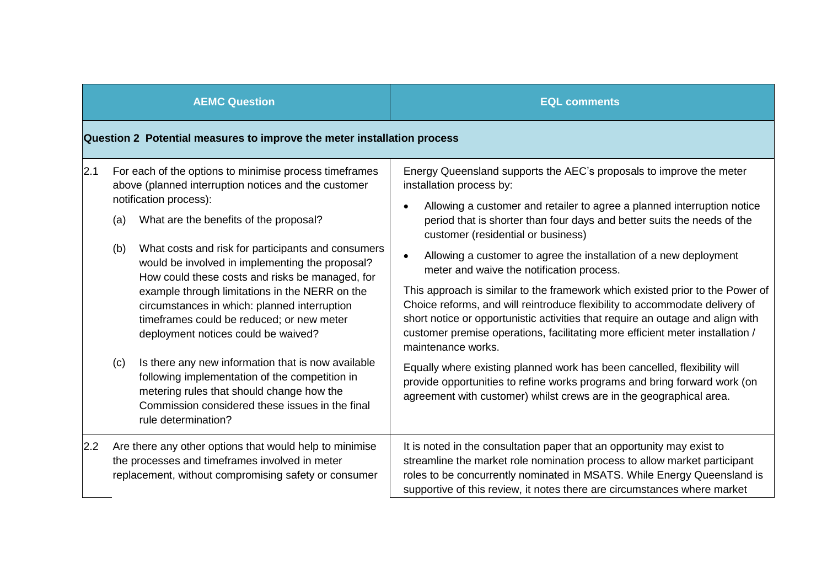|     |                                                                         | <b>AEMC Question</b>                                                                                                                                                                                                                                                                                                                                                                                                                                                                                                                 | <b>EQL comments</b>                                                                                                                                                                                                                                                                                                                                                                                                                                                                                                                                                                                                                                                                                                                                                    |  |
|-----|-------------------------------------------------------------------------|--------------------------------------------------------------------------------------------------------------------------------------------------------------------------------------------------------------------------------------------------------------------------------------------------------------------------------------------------------------------------------------------------------------------------------------------------------------------------------------------------------------------------------------|------------------------------------------------------------------------------------------------------------------------------------------------------------------------------------------------------------------------------------------------------------------------------------------------------------------------------------------------------------------------------------------------------------------------------------------------------------------------------------------------------------------------------------------------------------------------------------------------------------------------------------------------------------------------------------------------------------------------------------------------------------------------|--|
|     | Question 2 Potential measures to improve the meter installation process |                                                                                                                                                                                                                                                                                                                                                                                                                                                                                                                                      |                                                                                                                                                                                                                                                                                                                                                                                                                                                                                                                                                                                                                                                                                                                                                                        |  |
| 2.1 | (a)<br>(b)                                                              | For each of the options to minimise process timeframes<br>above (planned interruption notices and the customer<br>notification process):<br>What are the benefits of the proposal?<br>What costs and risk for participants and consumers<br>would be involved in implementing the proposal?<br>How could these costs and risks be managed, for<br>example through limitations in the NERR on the<br>circumstances in which: planned interruption<br>timeframes could be reduced; or new meter<br>deployment notices could be waived? | Energy Queensland supports the AEC's proposals to improve the meter<br>installation process by:<br>Allowing a customer and retailer to agree a planned interruption notice<br>period that is shorter than four days and better suits the needs of the<br>customer (residential or business)<br>Allowing a customer to agree the installation of a new deployment<br>meter and waive the notification process.<br>This approach is similar to the framework which existed prior to the Power of<br>Choice reforms, and will reintroduce flexibility to accommodate delivery of<br>short notice or opportunistic activities that require an outage and align with<br>customer premise operations, facilitating more efficient meter installation /<br>maintenance works. |  |
|     | (c)                                                                     | Is there any new information that is now available<br>following implementation of the competition in<br>metering rules that should change how the<br>Commission considered these issues in the final<br>rule determination?                                                                                                                                                                                                                                                                                                          | Equally where existing planned work has been cancelled, flexibility will<br>provide opportunities to refine works programs and bring forward work (on<br>agreement with customer) whilst crews are in the geographical area.                                                                                                                                                                                                                                                                                                                                                                                                                                                                                                                                           |  |
| 2.2 |                                                                         | Are there any other options that would help to minimise<br>the processes and timeframes involved in meter<br>replacement, without compromising safety or consumer                                                                                                                                                                                                                                                                                                                                                                    | It is noted in the consultation paper that an opportunity may exist to<br>streamline the market role nomination process to allow market participant<br>roles to be concurrently nominated in MSATS. While Energy Queensland is<br>supportive of this review, it notes there are circumstances where market                                                                                                                                                                                                                                                                                                                                                                                                                                                             |  |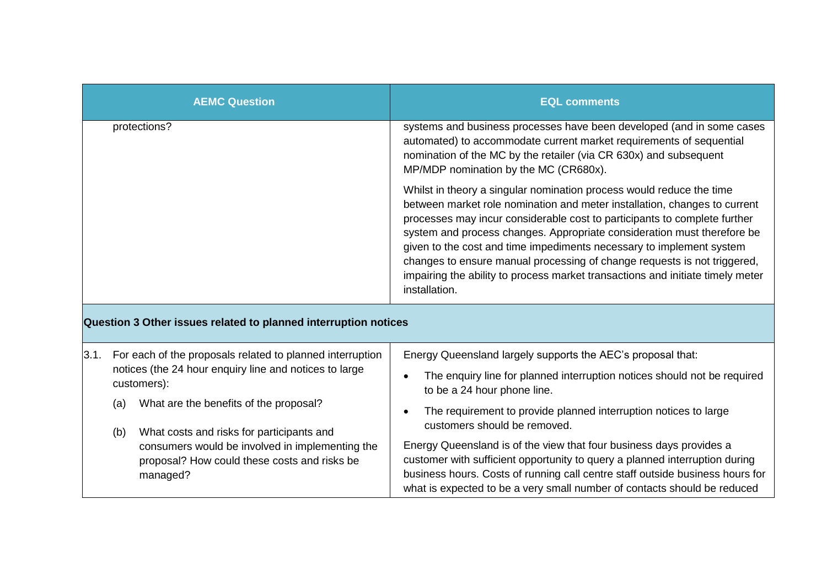|            | <b>AEMC Question</b>                                                                                        | <b>EQL comments</b>                                                                                                                                                                                                                                                                                                                                                                                                                                                                                                                                              |
|------------|-------------------------------------------------------------------------------------------------------------|------------------------------------------------------------------------------------------------------------------------------------------------------------------------------------------------------------------------------------------------------------------------------------------------------------------------------------------------------------------------------------------------------------------------------------------------------------------------------------------------------------------------------------------------------------------|
|            | protections?                                                                                                | systems and business processes have been developed (and in some cases<br>automated) to accommodate current market requirements of sequential<br>nomination of the MC by the retailer (via CR 630x) and subsequent<br>MP/MDP nomination by the MC (CR680x).                                                                                                                                                                                                                                                                                                       |
|            |                                                                                                             | Whilst in theory a singular nomination process would reduce the time<br>between market role nomination and meter installation, changes to current<br>processes may incur considerable cost to participants to complete further<br>system and process changes. Appropriate consideration must therefore be<br>given to the cost and time impediments necessary to implement system<br>changes to ensure manual processing of change requests is not triggered,<br>impairing the ability to process market transactions and initiate timely meter<br>installation. |
|            | Question 3 Other issues related to planned interruption notices                                             |                                                                                                                                                                                                                                                                                                                                                                                                                                                                                                                                                                  |
| 3.1.       | For each of the proposals related to planned interruption                                                   | Energy Queensland largely supports the AEC's proposal that:                                                                                                                                                                                                                                                                                                                                                                                                                                                                                                      |
|            | notices (the 24 hour enquiry line and notices to large<br>customers):                                       | The enquiry line for planned interruption notices should not be required<br>to be a 24 hour phone line.                                                                                                                                                                                                                                                                                                                                                                                                                                                          |
| (a)<br>(b) | What are the benefits of the proposal?<br>What costs and risks for participants and                         | The requirement to provide planned interruption notices to large<br>customers should be removed.                                                                                                                                                                                                                                                                                                                                                                                                                                                                 |
|            | consumers would be involved in implementing the<br>proposal? How could these costs and risks be<br>managed? | Energy Queensland is of the view that four business days provides a<br>customer with sufficient opportunity to query a planned interruption during<br>business hours. Costs of running call centre staff outside business hours for<br>what is expected to be a very small number of contacts should be reduced                                                                                                                                                                                                                                                  |